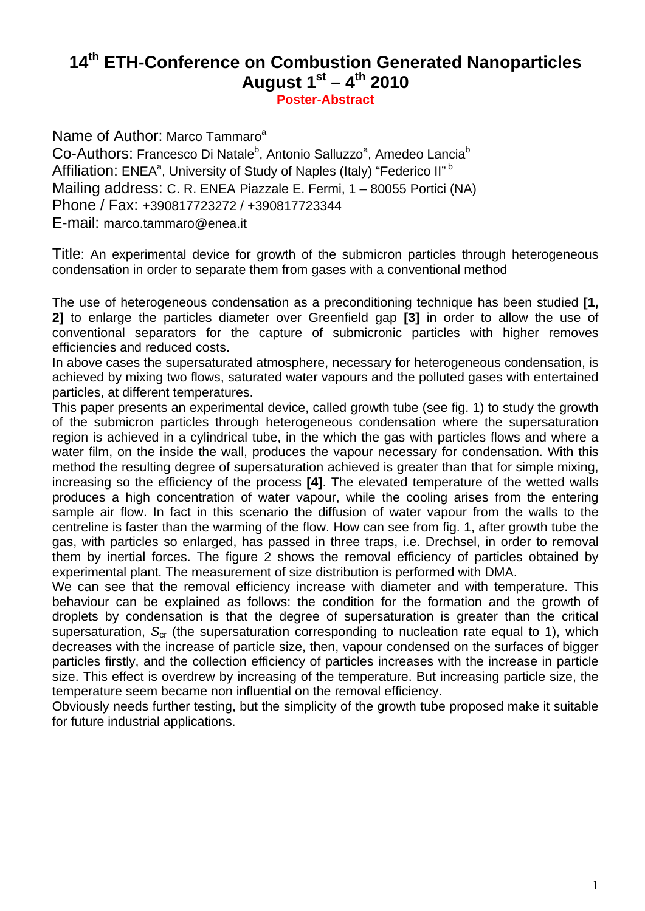# **14th ETH-Conference on Combustion Generated Nanoparticles August**  $1^{st} - 4^{th}$  **2010**

**Poster-Abstract** 

Name of Author: Marco Tammaro<sup>a</sup>

Co-Authors: Francesco Di Natale<sup>b</sup>, Antonio Salluzzo<sup>a</sup>, Amedeo Lancia<sup>b</sup> Affiliation: ENEA<sup>a</sup>, University of Study of Naples (Italy) "Federico II"<sup>b</sup> Mailing address: C. R. ENEA Piazzale E. Fermi, 1 – 80055 Portici (NA) Phone / Fax: +390817723272 / +390817723344 E-mail: marco.tammaro@enea.it

Title: An experimental device for growth of the submicron particles through heterogeneous condensation in order to separate them from gases with a conventional method

The use of heterogeneous condensation as a preconditioning technique has been studied **[1, 2]** to enlarge the particles diameter over Greenfield gap **[3]** in order to allow the use of conventional separators for the capture of submicronic particles with higher removes efficiencies and reduced costs.

In above cases the supersaturated atmosphere, necessary for heterogeneous condensation, is achieved by mixing two flows, saturated water vapours and the polluted gases with entertained particles, at different temperatures.

This paper presents an experimental device, called growth tube (see fig. 1) to study the growth of the submicron particles through heterogeneous condensation where the supersaturation region is achieved in a cylindrical tube, in the which the gas with particles flows and where a water film, on the inside the wall, produces the vapour necessary for condensation. With this method the resulting degree of supersaturation achieved is greater than that for simple mixing, increasing so the efficiency of the process **[4]**. The elevated temperature of the wetted walls produces a high concentration of water vapour, while the cooling arises from the entering sample air flow. In fact in this scenario the diffusion of water vapour from the walls to the centreline is faster than the warming of the flow. How can see from fig. 1, after growth tube the gas, with particles so enlarged, has passed in three traps, i.e. Drechsel, in order to removal them by inertial forces. The figure 2 shows the removal efficiency of particles obtained by experimental plant. The measurement of size distribution is performed with DMA.

We can see that the removal efficiency increase with diameter and with temperature. This behaviour can be explained as follows: the condition for the formation and the growth of droplets by condensation is that the degree of supersaturation is greater than the critical supersaturation, S<sub>cr</sub> (the supersaturation corresponding to nucleation rate equal to 1), which decreases with the increase of particle size, then, vapour condensed on the surfaces of bigger particles firstly, and the collection efficiency of particles increases with the increase in particle size. This effect is overdrew by increasing of the temperature. But increasing particle size, the temperature seem became non influential on the removal efficiency.

Obviously needs further testing, but the simplicity of the growth tube proposed make it suitable for future industrial applications.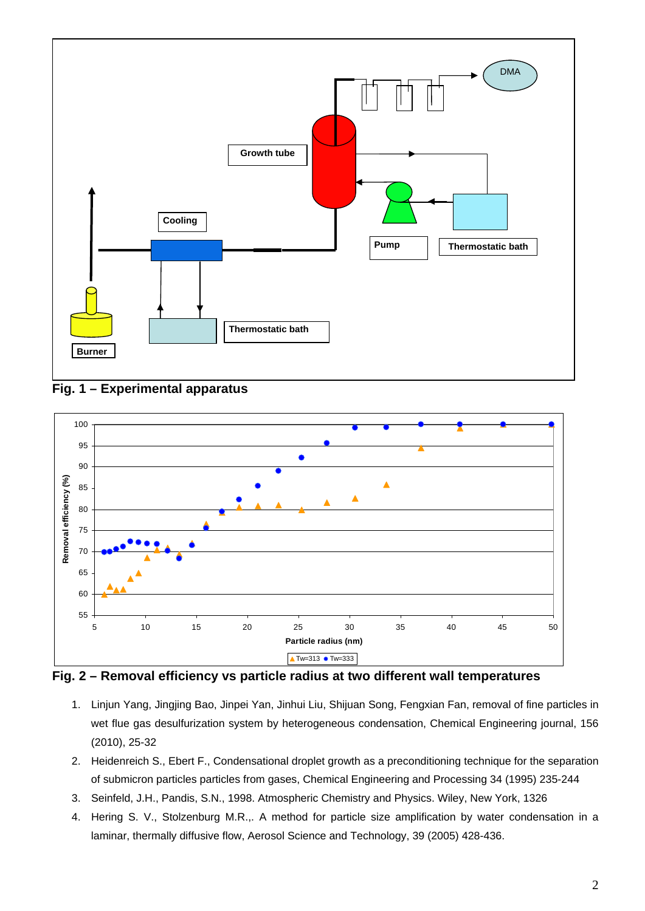





**Fig. 2 – Removal efficiency vs particle radius at two different wall temperatures** 

- 1. Linjun Yang, Jingjing Bao, Jinpei Yan, Jinhui Liu, Shijuan Song, Fengxian Fan, removal of fine particles in wet flue gas desulfurization system by heterogeneous condensation, Chemical Engineering journal, 156 (2010), 25-32
- 2. Heidenreich S., Ebert F., Condensational droplet growth as a preconditioning technique for the separation of submicron particles particles from gases, Chemical Engineering and Processing 34 (1995) 235-244
- 3. Seinfeld, J.H., Pandis, S.N., 1998. Atmospheric Chemistry and Physics. Wiley, New York, 1326
- 4. Hering S. V., Stolzenburg M.R.,. A method for particle size amplification by water condensation in a laminar, thermally diffusive flow, Aerosol Science and Technology, 39 (2005) 428-436.